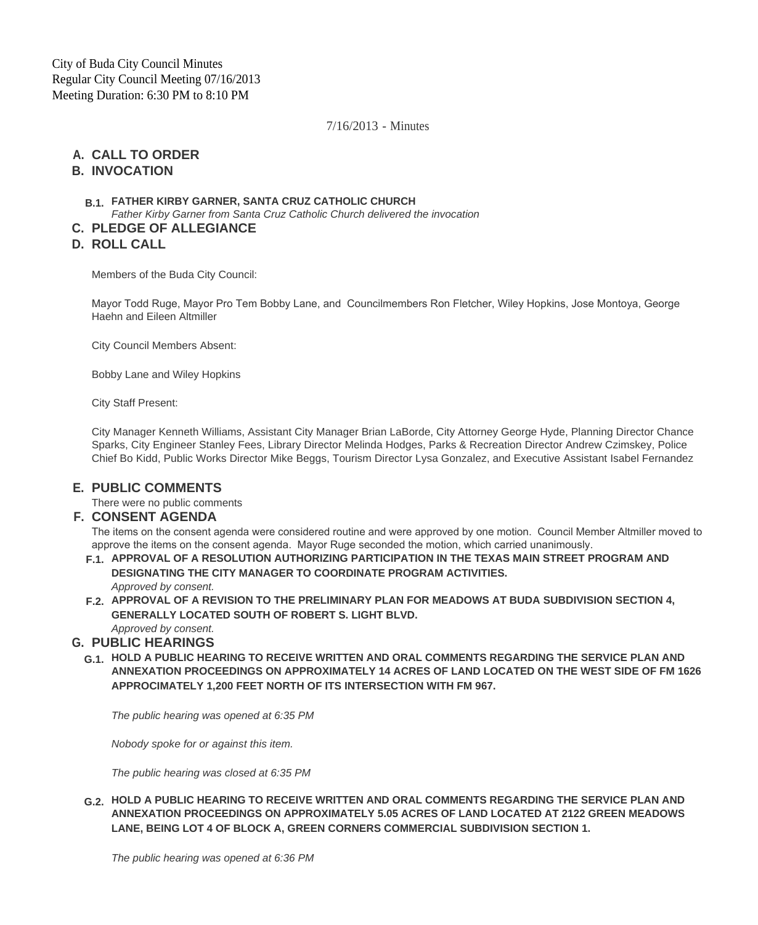7/16/2013 - Minutes

# **CALL TO ORDER A.**

### **INVOCATION B.**

### **FATHER KIRBY GARNER, SANTA CRUZ CATHOLIC CHURCH B.1.**

*Father Kirby Garner from Santa Cruz Catholic Church delivered the invocation*

# **PLEDGE OF ALLEGIANCE C.**

**ROLL CALL D.**

Members of the Buda City Council:

Mayor Todd Ruge, Mayor Pro Tem Bobby Lane, and Councilmembers Ron Fletcher, Wiley Hopkins, Jose Montoya, George Haehn and Eileen Altmiller

City Council Members Absent:

Bobby Lane and Wiley Hopkins

City Staff Present:

City Manager Kenneth Williams, Assistant City Manager Brian LaBorde, City Attorney George Hyde, Planning Director Chance Sparks, City Engineer Stanley Fees, Library Director Melinda Hodges, Parks & Recreation Director Andrew Czimskey, Police Chief Bo Kidd, Public Works Director Mike Beggs, Tourism Director Lysa Gonzalez, and Executive Assistant Isabel Fernandez

# **PUBLIC COMMENTS E.**

There were no public comments

#### **CONSENT AGENDA F.**

The items on the consent agenda were considered routine and were approved by one motion. Council Member Altmiller moved to approve the items on the consent agenda. Mayor Ruge seconded the motion, which carried unanimously.

- **APPROVAL OF A RESOLUTION AUTHORIZING PARTICIPATION IN THE TEXAS MAIN STREET PROGRAM AND F.1. DESIGNATING THE CITY MANAGER TO COORDINATE PROGRAM ACTIVITIES.** *Approved by consent.*
- **APPROVAL OF A REVISION TO THE PRELIMINARY PLAN FOR MEADOWS AT BUDA SUBDIVISION SECTION 4, F.2. GENERALLY LOCATED SOUTH OF ROBERT S. LIGHT BLVD.**

#### *Approved by consent.* **PUBLIC HEARINGS G.**

**HOLD A PUBLIC HEARING TO RECEIVE WRITTEN AND ORAL COMMENTS REGARDING THE SERVICE PLAN AND G.1. ANNEXATION PROCEEDINGS ON APPROXIMATELY 14 ACRES OF LAND LOCATED ON THE WEST SIDE OF FM 1626 APPROCIMATELY 1,200 FEET NORTH OF ITS INTERSECTION WITH FM 967.**

*The public hearing was opened at 6:35 PM*

*Nobody spoke for or against this item.*

*The public hearing was closed at 6:35 PM*

**HOLD A PUBLIC HEARING TO RECEIVE WRITTEN AND ORAL COMMENTS REGARDING THE SERVICE PLAN AND G.2. ANNEXATION PROCEEDINGS ON APPROXIMATELY 5.05 ACRES OF LAND LOCATED AT 2122 GREEN MEADOWS LANE, BEING LOT 4 OF BLOCK A, GREEN CORNERS COMMERCIAL SUBDIVISION SECTION 1.**

*The public hearing was opened at 6:36 PM*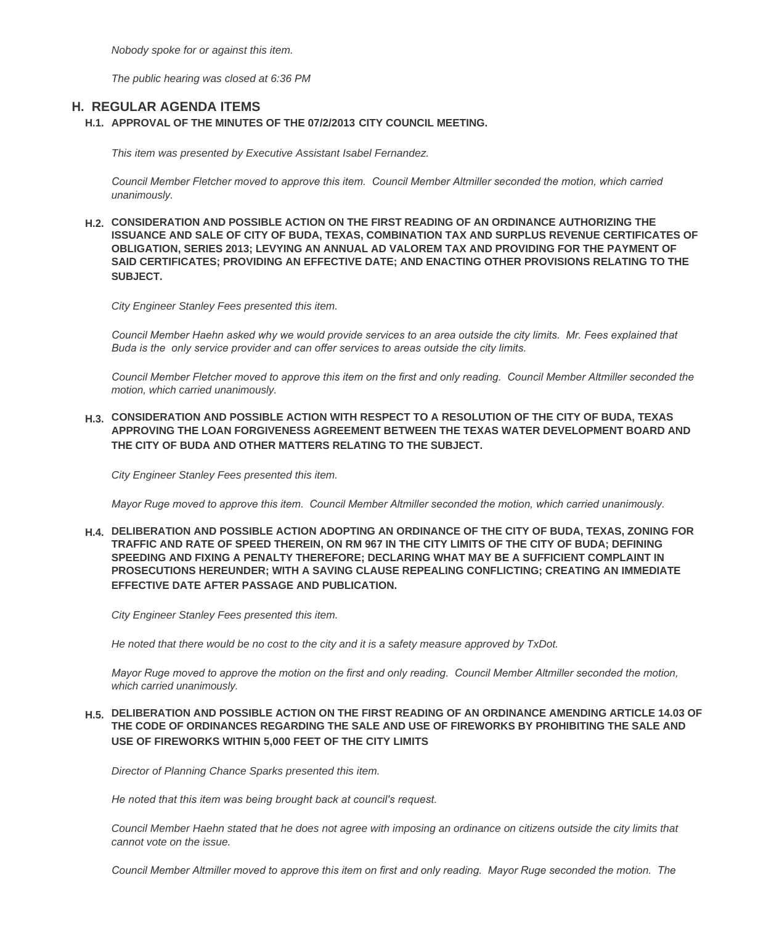*Nobody spoke for or against this item.*

*The public hearing was closed at 6:36 PM*

### **REGULAR AGENDA ITEMS H.**

#### **APPROVAL OF THE MINUTES OF THE 07/2/2013 CITY COUNCIL MEETING. H.1.**

*This item was presented by Executive Assistant Isabel Fernandez.*

*Council Member Fletcher moved to approve this item. Council Member Altmiller seconded the motion, which carried unanimously.*

**CONSIDERATION AND POSSIBLE ACTION ON THE FIRST READING OF AN ORDINANCE AUTHORIZING THE H.2. ISSUANCE AND SALE OF CITY OF BUDA, TEXAS, COMBINATION TAX AND SURPLUS REVENUE CERTIFICATES OF OBLIGATION, SERIES 2013; LEVYING AN ANNUAL AD VALOREM TAX AND PROVIDING FOR THE PAYMENT OF SAID CERTIFICATES; PROVIDING AN EFFECTIVE DATE; AND ENACTING OTHER PROVISIONS RELATING TO THE SUBJECT.**

*City Engineer Stanley Fees presented this item.*

*Council Member Haehn asked why we would provide services to an area outside the city limits. Mr. Fees explained that Buda is the only service provider and can offer services to areas outside the city limits.*

*Council Member Fletcher moved to approve this item on the first and only reading. Council Member Altmiller seconded the motion, which carried unanimously.*

**CONSIDERATION AND POSSIBLE ACTION WITH RESPECT TO A RESOLUTION OF THE CITY OF BUDA, TEXAS H.3. APPROVING THE LOAN FORGIVENESS AGREEMENT BETWEEN THE TEXAS WATER DEVELOPMENT BOARD AND THE CITY OF BUDA AND OTHER MATTERS RELATING TO THE SUBJECT.**

*City Engineer Stanley Fees presented this item.*

*Mayor Ruge moved to approve this item. Council Member Altmiller seconded the motion, which carried unanimously.*

**DELIBERATION AND POSSIBLE ACTION ADOPTING AN ORDINANCE OF THE CITY OF BUDA, TEXAS, ZONING FOR H.4. TRAFFIC AND RATE OF SPEED THEREIN, ON RM 967 IN THE CITY LIMITS OF THE CITY OF BUDA; DEFINING SPEEDING AND FIXING A PENALTY THEREFORE; DECLARING WHAT MAY BE A SUFFICIENT COMPLAINT IN PROSECUTIONS HEREUNDER; WITH A SAVING CLAUSE REPEALING CONFLICTING; CREATING AN IMMEDIATE EFFECTIVE DATE AFTER PASSAGE AND PUBLICATION.**

*City Engineer Stanley Fees presented this item.* 

*He noted that there would be no cost to the city and it is a safety measure approved by TxDot.*

*Mayor Ruge moved to approve the motion on the first and only reading. Council Member Altmiller seconded the motion, which carried unanimously.*

#### **DELIBERATION AND POSSIBLE ACTION ON THE FIRST READING OF AN ORDINANCE AMENDING ARTICLE 14.03 OF H.5. THE CODE OF ORDINANCES REGARDING THE SALE AND USE OF FIREWORKS BY PROHIBITING THE SALE AND USE OF FIREWORKS WITHIN 5,000 FEET OF THE CITY LIMITS**

*Director of Planning Chance Sparks presented this item.* 

*He noted that this item was being brought back at council's request.* 

*Council Member Haehn stated that he does not agree with imposing an ordinance on citizens outside the city limits that cannot vote on the issue.*

*Council Member Altmiller moved to approve this item on first and only reading. Mayor Ruge seconded the motion. The*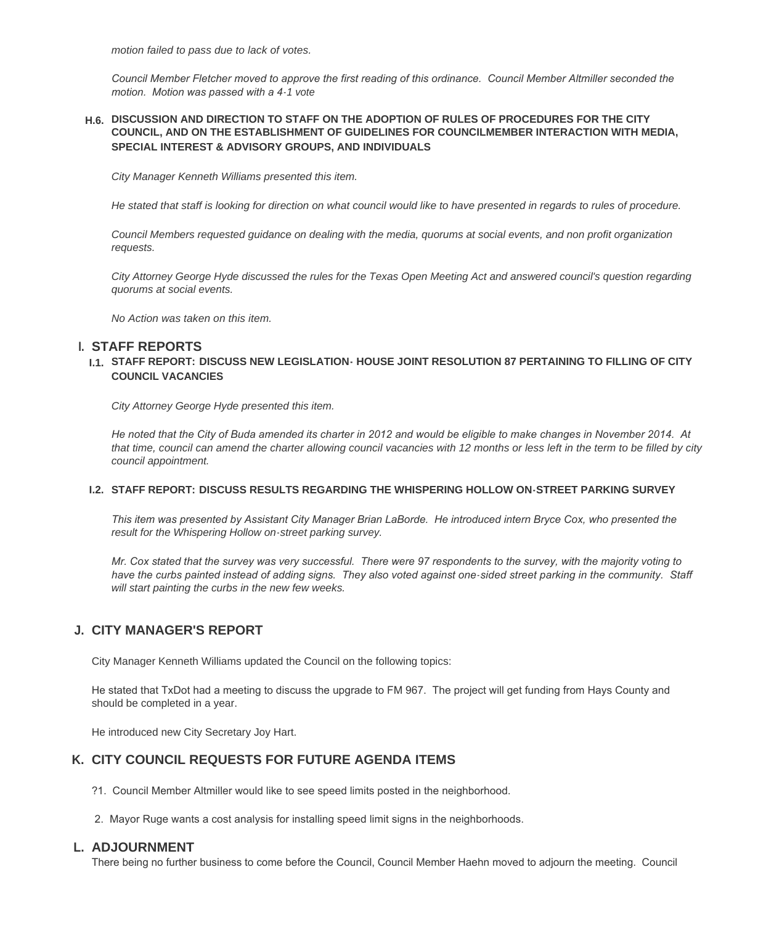*motion failed to pass due to lack of votes.*

*Council Member Fletcher moved to approve the first reading of this ordinance. Council Member Altmiller seconded the motion. Motion was passed with a 4-1 vote*

#### **DISCUSSION AND DIRECTION TO STAFF ON THE ADOPTION OF RULES OF PROCEDURES FOR THE CITY H.6. COUNCIL, AND ON THE ESTABLISHMENT OF GUIDELINES FOR COUNCILMEMBER INTERACTION WITH MEDIA, SPECIAL INTEREST & ADVISORY GROUPS, AND INDIVIDUALS**

*City Manager Kenneth Williams presented this item.*

*He stated that staff is looking for direction on what council would like to have presented in regards to rules of procedure.*

*Council Members requested guidance on dealing with the media, quorums at social events, and non profit organization requests.*

*City Attorney George Hyde discussed the rules for the Texas Open Meeting Act and answered council's question regarding quorums at social events.*

*No Action was taken on this item.*

# **STAFF REPORTS I.**

#### **STAFF REPORT: DISCUSS NEW LEGISLATION- HOUSE JOINT RESOLUTION 87 PERTAINING TO FILLING OF CITY I.1. COUNCIL VACANCIES**

*City Attorney George Hyde presented this item.*

*He noted that the City of Buda amended its charter in 2012 and would be eligible to make changes in November 2014. At that time, council can amend the charter allowing council vacancies with 12 months or less left in the term to be filled by city council appointment.*

#### **STAFF REPORT: DISCUSS RESULTS REGARDING THE WHISPERING HOLLOW ON-STREET PARKING SURVEY I.2.**

*This item was presented by Assistant City Manager Brian LaBorde. He introduced intern Bryce Cox, who presented the result for the Whispering Hollow on-street parking survey.*

*Mr. Cox stated that the survey was very successful. There were 97 respondents to the survey, with the majority voting to have the curbs painted instead of adding signs. They also voted against one-sided street parking in the community. Staff will start painting the curbs in the new few weeks.*

# **CITY MANAGER'S REPORT J.**

City Manager Kenneth Williams updated the Council on the following topics:

He stated that TxDot had a meeting to discuss the upgrade to FM 967. The project will get funding from Hays County and should be completed in a year.

He introduced new City Secretary Joy Hart.

### **CITY COUNCIL REQUESTS FOR FUTURE AGENDA ITEMS K.**

- ?1. Council Member Altmiller would like to see speed limits posted in the neighborhood.
- 2. Mayor Ruge wants a cost analysis for installing speed limit signs in the neighborhoods.

### **ADJOURNMENT L.**

There being no further business to come before the Council, Council Member Haehn moved to adjourn the meeting. Council